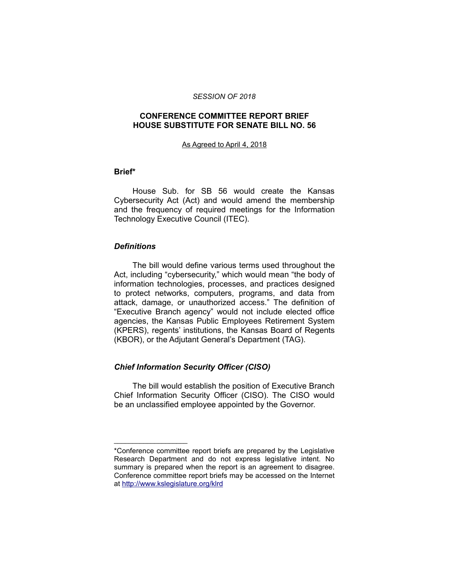#### *SESSION OF 2018*

## **CONFERENCE COMMITTEE REPORT BRIEF HOUSE SUBSTITUTE FOR SENATE BILL NO. 56**

#### As Agreed to April 4, 2018

#### **Brief\***

House Sub. for SB 56 would create the Kansas Cybersecurity Act (Act) and would amend the membership and the frequency of required meetings for the Information Technology Executive Council (ITEC).

#### *Definitions*

\_\_\_\_\_\_\_\_\_\_\_\_\_\_\_\_\_\_\_\_

The bill would define various terms used throughout the Act, including "cybersecurity," which would mean "the body of information technologies, processes, and practices designed to protect networks, computers, programs, and data from attack, damage, or unauthorized access." The definition of "Executive Branch agency" would not include elected office agencies, the Kansas Public Employees Retirement System (KPERS), regents' institutions, the Kansas Board of Regents (KBOR), or the Adjutant General's Department (TAG).

## *Chief Information Security Officer (CISO)*

The bill would establish the position of Executive Branch Chief Information Security Officer (CISO). The CISO would be an unclassified employee appointed by the Governor.

<sup>\*</sup>Conference committee report briefs are prepared by the Legislative Research Department and do not express legislative intent. No summary is prepared when the report is an agreement to disagree. Conference committee report briefs may be accessed on the Internet at<http://www.kslegislature.org/klrd>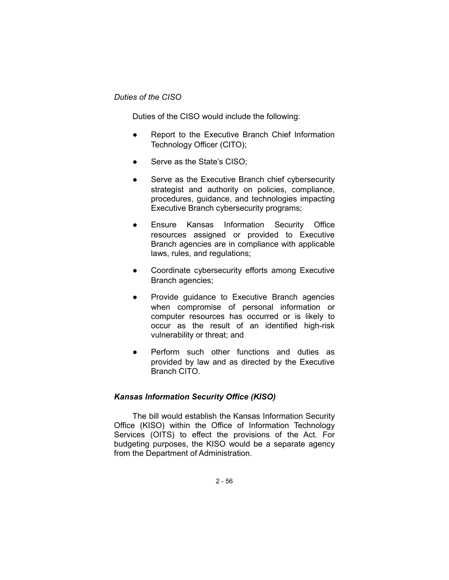## *Duties of the CISO*

Duties of the CISO would include the following:

- Report to the Executive Branch Chief Information Technology Officer (CITO);
- Serve as the State's CISO;
- Serve as the Executive Branch chief cybersecurity strategist and authority on policies, compliance, procedures, guidance, and technologies impacting Executive Branch cybersecurity programs;
- Ensure Kansas Information Security Office resources assigned or provided to Executive Branch agencies are in compliance with applicable laws, rules, and regulations;
- Coordinate cybersecurity efforts among Executive Branch agencies;
- Provide guidance to Executive Branch agencies when compromise of personal information or computer resources has occurred or is likely to occur as the result of an identified high-risk vulnerability or threat; and
- Perform such other functions and duties as provided by law and as directed by the Executive Branch CITO.

## *Kansas Information Security Office (KISO)*

The bill would establish the Kansas Information Security Office (KISO) within the Office of Information Technology Services (OITS) to effect the provisions of the Act. For budgeting purposes, the KISO would be a separate agency from the Department of Administration.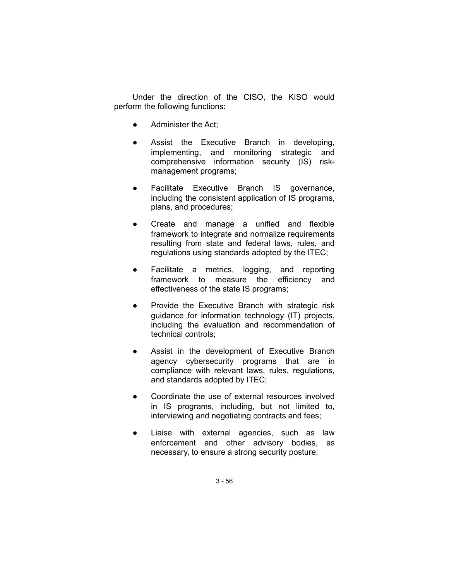Under the direction of the CISO, the KISO would perform the following functions:

- Administer the Act;
- Assist the Executive Branch in developing, implementing, and monitoring strategic and comprehensive information security (IS) riskmanagement programs;
- Facilitate Executive Branch IS governance, including the consistent application of IS programs, plans, and procedures;
- Create and manage a unified and flexible framework to integrate and normalize requirements resulting from state and federal laws, rules, and regulations using standards adopted by the ITEC;
- Facilitate a metrics, logging, and reporting framework to measure the efficiency and effectiveness of the state IS programs;
- Provide the Executive Branch with strategic risk guidance for information technology (IT) projects, including the evaluation and recommendation of technical controls;
- Assist in the development of Executive Branch agency cybersecurity programs that are in compliance with relevant laws, rules, regulations, and standards adopted by ITEC;
- Coordinate the use of external resources involved in IS programs, including, but not limited to, interviewing and negotiating contracts and fees;
- Liaise with external agencies, such as law enforcement and other advisory bodies, as necessary, to ensure a strong security posture;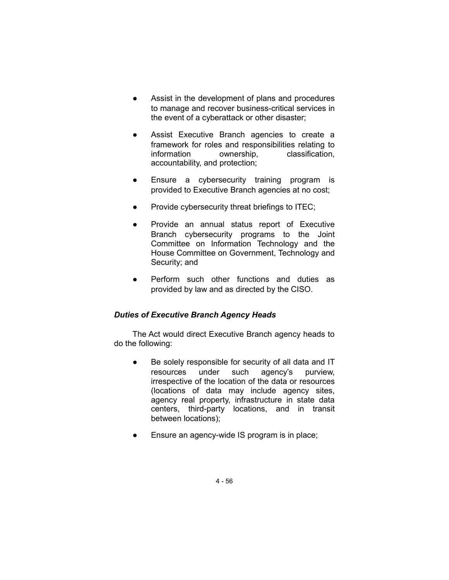- Assist in the development of plans and procedures to manage and recover business-critical services in the event of a cyberattack or other disaster;
- Assist Executive Branch agencies to create a framework for roles and responsibilities relating to information ownership, classification, accountability, and protection;
- Ensure a cybersecurity training program is provided to Executive Branch agencies at no cost;
- Provide cybersecurity threat briefings to ITEC;
- Provide an annual status report of Executive Branch cybersecurity programs to the Joint Committee on Information Technology and the House Committee on Government, Technology and Security; and
- Perform such other functions and duties as provided by law and as directed by the CISO.

# *Duties of Executive Branch Agency Heads*

The Act would direct Executive Branch agency heads to do the following:

- Be solely responsible for security of all data and IT resources under such agency's purview, irrespective of the location of the data or resources (locations of data may include agency sites, agency real property, infrastructure in state data centers, third-party locations, and in transit between locations);
- Ensure an agency-wide IS program is in place;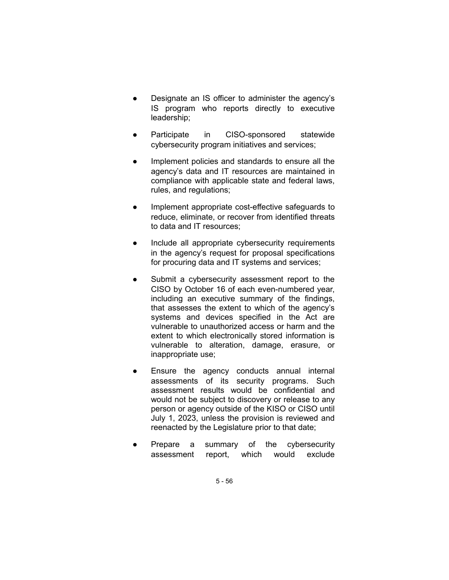- Designate an IS officer to administer the agency's IS program who reports directly to executive leadership;
- Participate in CISO-sponsored statewide cybersecurity program initiatives and services;
- Implement policies and standards to ensure all the agency's data and IT resources are maintained in compliance with applicable state and federal laws, rules, and regulations;
- Implement appropriate cost-effective safeguards to reduce, eliminate, or recover from identified threats to data and IT resources;
- Include all appropriate cybersecurity requirements in the agency's request for proposal specifications for procuring data and IT systems and services;
- Submit a cybersecurity assessment report to the CISO by October 16 of each even-numbered year, including an executive summary of the findings, that assesses the extent to which of the agency's systems and devices specified in the Act are vulnerable to unauthorized access or harm and the extent to which electronically stored information is vulnerable to alteration, damage, erasure, or inappropriate use;
- Ensure the agency conducts annual internal assessments of its security programs. Such assessment results would be confidential and would not be subject to discovery or release to any person or agency outside of the KISO or CISO until July 1, 2023, unless the provision is reviewed and reenacted by the Legislature prior to that date;
- Prepare a summary of the cybersecurity assessment report, which would exclude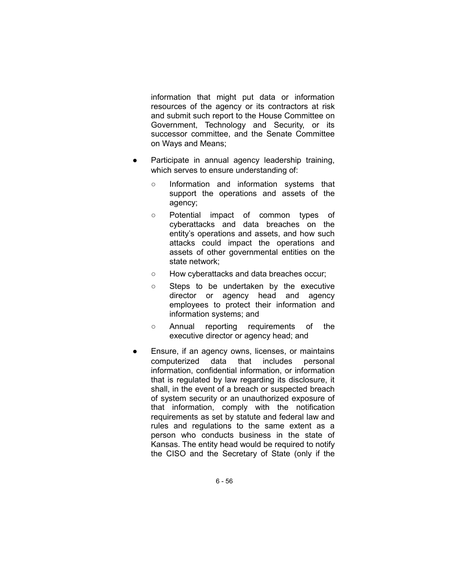information that might put data or information resources of the agency or its contractors at risk and submit such report to the House Committee on Government, Technology and Security, or its successor committee, and the Senate Committee on Ways and Means;

- Participate in annual agency leadership training, which serves to ensure understanding of:
	- Information and information systems that support the operations and assets of the agency;
	- Potential impact of common types of cyberattacks and data breaches on the entity's operations and assets, and how such attacks could impact the operations and assets of other governmental entities on the state network;
	- How cyberattacks and data breaches occur;
	- Steps to be undertaken by the executive director or agency head and agency employees to protect their information and information systems; and
	- Annual reporting requirements of the executive director or agency head; and
- Ensure, if an agency owns, licenses, or maintains computerized data that includes personal information, confidential information, or information that is regulated by law regarding its disclosure, it shall, in the event of a breach or suspected breach of system security or an unauthorized exposure of that information, comply with the notification requirements as set by statute and federal law and rules and regulations to the same extent as a person who conducts business in the state of Kansas. The entity head would be required to notify the CISO and the Secretary of State (only if the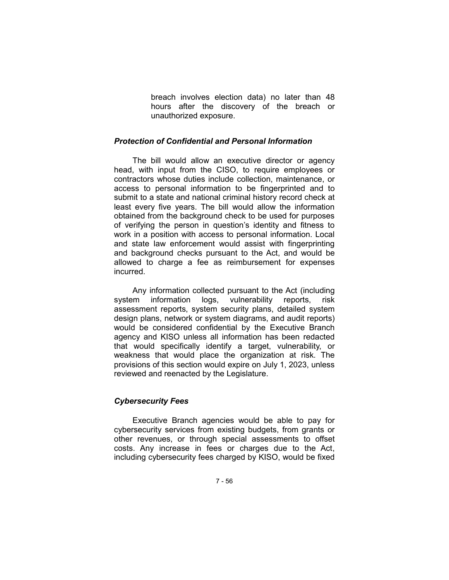breach involves election data) no later than 48 hours after the discovery of the breach or unauthorized exposure.

## *Protection of Confidential and Personal Information*

The bill would allow an executive director or agency head, with input from the CISO, to require employees or contractors whose duties include collection, maintenance, or access to personal information to be fingerprinted and to submit to a state and national criminal history record check at least every five years. The bill would allow the information obtained from the background check to be used for purposes of verifying the person in question's identity and fitness to work in a position with access to personal information. Local and state law enforcement would assist with fingerprinting and background checks pursuant to the Act, and would be allowed to charge a fee as reimbursement for expenses incurred.

Any information collected pursuant to the Act (including system information logs, vulnerability reports, risk assessment reports, system security plans, detailed system design plans, network or system diagrams, and audit reports) would be considered confidential by the Executive Branch agency and KISO unless all information has been redacted that would specifically identify a target, vulnerability, or weakness that would place the organization at risk. The provisions of this section would expire on July 1, 2023, unless reviewed and reenacted by the Legislature.

## *Cybersecurity Fees*

Executive Branch agencies would be able to pay for cybersecurity services from existing budgets, from grants or other revenues, or through special assessments to offset costs. Any increase in fees or charges due to the Act, including cybersecurity fees charged by KISO, would be fixed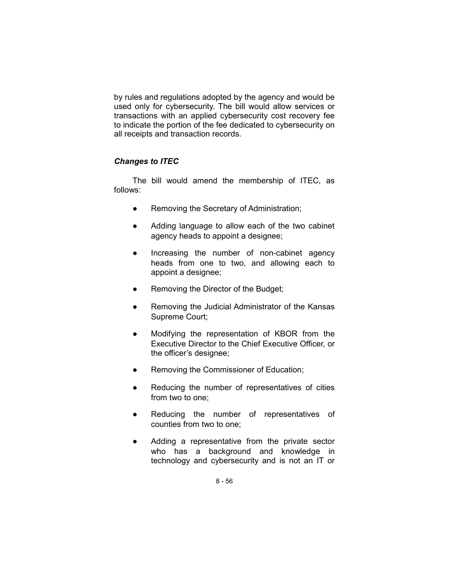by rules and regulations adopted by the agency and would be used only for cybersecurity. The bill would allow services or transactions with an applied cybersecurity cost recovery fee to indicate the portion of the fee dedicated to cybersecurity on all receipts and transaction records.

# *Changes to ITEC*

The bill would amend the membership of ITEC, as follows:

- Removing the Secretary of Administration;
- Adding language to allow each of the two cabinet agency heads to appoint a designee;
- Increasing the number of non-cabinet agency heads from one to two, and allowing each to appoint a designee;
- Removing the Director of the Budget;
- Removing the Judicial Administrator of the Kansas Supreme Court;
- Modifying the representation of KBOR from the Executive Director to the Chief Executive Officer, or the officer's designee;
- Removing the Commissioner of Education;
- Reducing the number of representatives of cities from two to one;
- Reducing the number of representatives of counties from two to one;
- Adding a representative from the private sector who has a background and knowledge in technology and cybersecurity and is not an IT or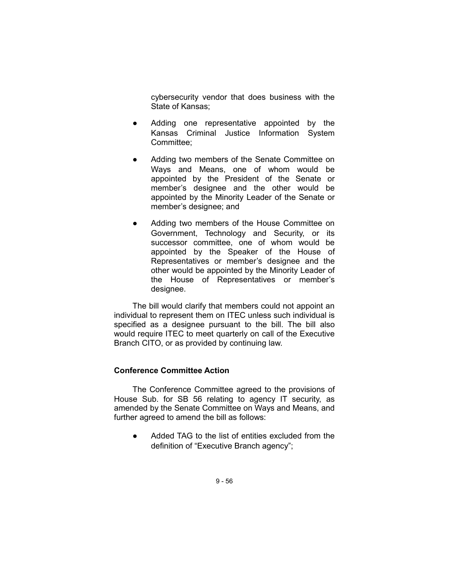cybersecurity vendor that does business with the State of Kansas;

- Adding one representative appointed by the Kansas Criminal Justice Information System Committee;
- Adding two members of the Senate Committee on Ways and Means, one of whom would be appointed by the President of the Senate or member's designee and the other would be appointed by the Minority Leader of the Senate or member's designee; and
- Adding two members of the House Committee on Government, Technology and Security, or its successor committee, one of whom would be appointed by the Speaker of the House of Representatives or member's designee and the other would be appointed by the Minority Leader of the House of Representatives or member's designee.

The bill would clarify that members could not appoint an individual to represent them on ITEC unless such individual is specified as a designee pursuant to the bill. The bill also would require ITEC to meet quarterly on call of the Executive Branch CITO, or as provided by continuing law.

## **Conference Committee Action**

The Conference Committee agreed to the provisions of House Sub. for SB 56 relating to agency IT security, as amended by the Senate Committee on Ways and Means, and further agreed to amend the bill as follows:

● Added TAG to the list of entities excluded from the definition of "Executive Branch agency";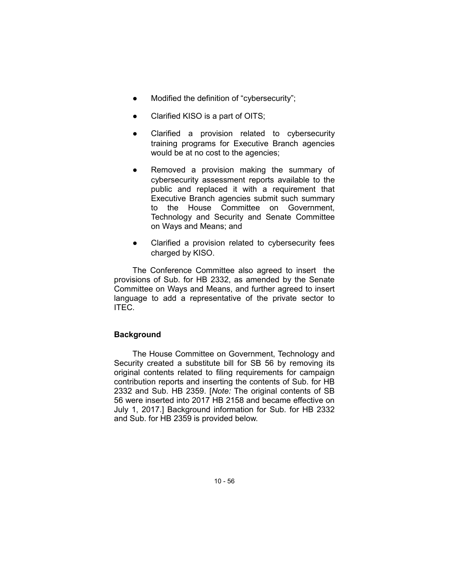- Modified the definition of "cybersecurity";
- Clarified KISO is a part of OITS;
- Clarified a provision related to cybersecurity training programs for Executive Branch agencies would be at no cost to the agencies;
- Removed a provision making the summary of cybersecurity assessment reports available to the public and replaced it with a requirement that Executive Branch agencies submit such summary to the House Committee on Government, Technology and Security and Senate Committee on Ways and Means; and
- Clarified a provision related to cybersecurity fees charged by KISO.

The Conference Committee also agreed to insert the provisions of Sub. for HB 2332, as amended by the Senate Committee on Ways and Means, and further agreed to insert language to add a representative of the private sector to ITEC.

# **Background**

The House Committee on Government, Technology and Security created a substitute bill for SB 56 by removing its original contents related to filing requirements for campaign contribution reports and inserting the contents of Sub. for HB 2332 and Sub. HB 2359. [*Note:* The original contents of SB 56 were inserted into 2017 HB 2158 and became effective on July 1, 2017.] Background information for Sub. for HB 2332 and Sub. for HB 2359 is provided below.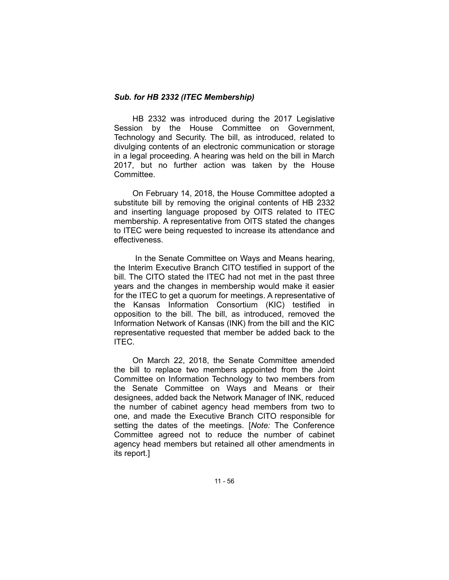## *Sub. for HB 2332 (ITEC Membership)*

HB 2332 was introduced during the 2017 Legislative Session by the House Committee on Government, Technology and Security. The bill, as introduced, related to divulging contents of an electronic communication or storage in a legal proceeding. A hearing was held on the bill in March 2017, but no further action was taken by the House Committee.

On February 14, 2018, the House Committee adopted a substitute bill by removing the original contents of HB 2332 and inserting language proposed by OITS related to ITEC membership. A representative from OITS stated the changes to ITEC were being requested to increase its attendance and effectiveness.

In the Senate Committee on Ways and Means hearing, the Interim Executive Branch CITO testified in support of the bill. The CITO stated the ITEC had not met in the past three years and the changes in membership would make it easier for the ITEC to get a quorum for meetings. A representative of the Kansas Information Consortium (KIC) testified in opposition to the bill. The bill, as introduced, removed the Information Network of Kansas (INK) from the bill and the KIC representative requested that member be added back to the ITEC.

On March 22, 2018, the Senate Committee amended the bill to replace two members appointed from the Joint Committee on Information Technology to two members from the Senate Committee on Ways and Means or their designees, added back the Network Manager of INK, reduced the number of cabinet agency head members from two to one, and made the Executive Branch CITO responsible for setting the dates of the meetings. [*Note:* The Conference Committee agreed not to reduce the number of cabinet agency head members but retained all other amendments in its report.]